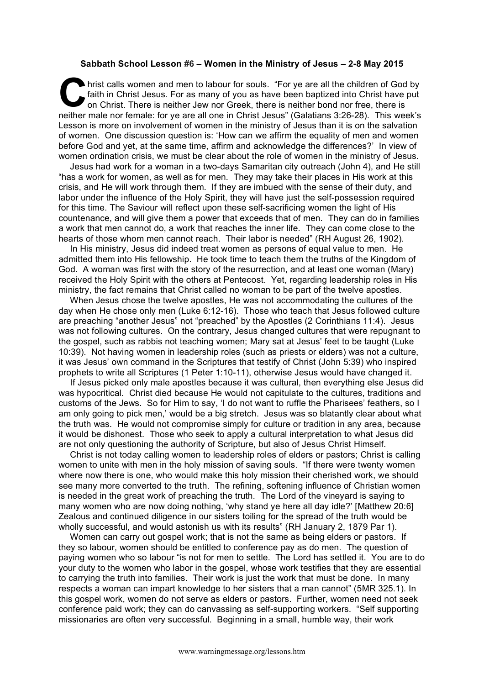## **Sabbath School Lesson #6 – Women in the Ministry of Jesus – 2-8 May 2015**

hrist calls women and men to labour for souls. "For ye are all the children of God by faith in Christ Jesus. For as many of you as have been baptized into Christ have put on Christ. There is neither Jew nor Greek, there is neither bond nor free, there is neither male nor female: for ye are all one in Christ Jesus" (Galatians 3:26-28). This week's Lesson is more on involvement of women in the ministry of Jesus than it is on the salvation of women. One discussion question is: 'How can we affirm the equality of men and women before God and yet, at the same time, affirm and acknowledge the differences?' In view of women ordination crisis, we must be clear about the role of women in the ministry of Jesus. **C** hris

Jesus had work for a woman in a two-days Samaritan city outreach (John 4), and He still "has a work for women, as well as for men. They may take their places in His work at this crisis, and He will work through them. If they are imbued with the sense of their duty, and labor under the influence of the Holy Spirit, they will have just the self-possession required for this time. The Saviour will reflect upon these self-sacrificing women the light of His countenance, and will give them a power that exceeds that of men. They can do in families a work that men cannot do, a work that reaches the inner life. They can come close to the hearts of those whom men cannot reach. Their labor is needed" (RH August 26, 1902).

In His ministry, Jesus did indeed treat women as persons of equal value to men. He admitted them into His fellowship. He took time to teach them the truths of the Kingdom of God. A woman was first with the story of the resurrection, and at least one woman (Mary) received the Holy Spirit with the others at Pentecost. Yet, regarding leadership roles in His ministry, the fact remains that Christ called no woman to be part of the twelve apostles.

When Jesus chose the twelve apostles, He was not accommodating the cultures of the day when He chose only men (Luke 6:12-16). Those who teach that Jesus followed culture are preaching "another Jesus" not "preached" by the Apostles (2 Corinthians 11:4). Jesus was not following cultures. On the contrary, Jesus changed cultures that were repugnant to the gospel, such as rabbis not teaching women; Mary sat at Jesus' feet to be taught (Luke 10:39). Not having women in leadership roles (such as priests or elders) was not a culture, it was Jesus' own command in the Scriptures that testify of Christ (John 5:39) who inspired prophets to write all Scriptures (1 Peter 1:10-11), otherwise Jesus would have changed it.

If Jesus picked only male apostles because it was cultural, then everything else Jesus did was hypocritical. Christ died because He would not capitulate to the cultures, traditions and customs of the Jews. So for Him to say, 'I do not want to ruffle the Pharisees' feathers, so I am only going to pick men,' would be a big stretch. Jesus was so blatantly clear about what the truth was. He would not compromise simply for culture or tradition in any area, because it would be dishonest. Those who seek to apply a cultural interpretation to what Jesus did are not only questioning the authority of Scripture, but also of Jesus Christ Himself.

Christ is not today calling women to leadership roles of elders or pastors; Christ is calling women to unite with men in the holy mission of saving souls. "If there were twenty women where now there is one, who would make this holy mission their cherished work, we should see many more converted to the truth. The refining, softening influence of Christian women is needed in the great work of preaching the truth. The Lord of the vineyard is saying to many women who are now doing nothing, 'why stand ye here all day idle?' [Matthew 20:6] Zealous and continued diligence in our sisters toiling for the spread of the truth would be wholly successful, and would astonish us with its results" (RH January 2, 1879 Par 1).

Women can carry out gospel work; that is not the same as being elders or pastors. If they so labour, women should be entitled to conference pay as do men. The question of paying women who so labour "is not for men to settle. The Lord has settled it. You are to do your duty to the women who labor in the gospel, whose work testifies that they are essential to carrying the truth into families. Their work is just the work that must be done. In many respects a woman can impart knowledge to her sisters that a man cannot" (5MR 325.1). In this gospel work, women do not serve as elders or pastors. Further, women need not seek conference paid work; they can do canvassing as self-supporting workers. "Self supporting missionaries are often very successful. Beginning in a small, humble way, their work